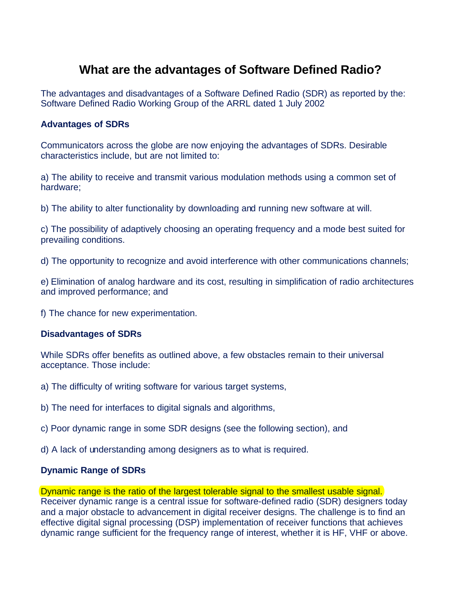## **What are the advantages of Software Defined Radio?**

The advantages and disadvantages of a Software Defined Radio (SDR) as reported by the: Software Defined Radio Working Group of the ARRL dated 1 July 2002

## **Advantages of SDRs**

Communicators across the globe are now enjoying the advantages of SDRs. Desirable characteristics include, but are not limited to:

a) The ability to receive and transmit various modulation methods using a common set of hardware;

b) The ability to alter functionality by downloading and running new software at will.

c) The possibility of adaptively choosing an operating frequency and a mode best suited for prevailing conditions.

d) The opportunity to recognize and avoid interference with other communications channels;

e) Elimination of analog hardware and its cost, resulting in simplification of radio architectures and improved performance; and

f) The chance for new experimentation.

## **Disadvantages of SDRs**

While SDRs offer benefits as outlined above, a few obstacles remain to their universal acceptance. Those include:

- a) The difficulty of writing software for various target systems,
- b) The need for interfaces to digital signals and algorithms,
- c) Poor dynamic range in some SDR designs (see the following section), and
- d) A lack of understanding among designers as to what is required.

## **Dynamic Range of SDRs**

Dynamic range is the ratio of the largest tolerable signal to the smallest usable signal. Receiver dynamic range is a central issue for software-defined radio (SDR) designers today and a major obstacle to advancement in digital receiver designs. The challenge is to find an effective digital signal processing (DSP) implementation of receiver functions that achieves dynamic range sufficient for the frequency range of interest, whether it is HF, VHF or above.